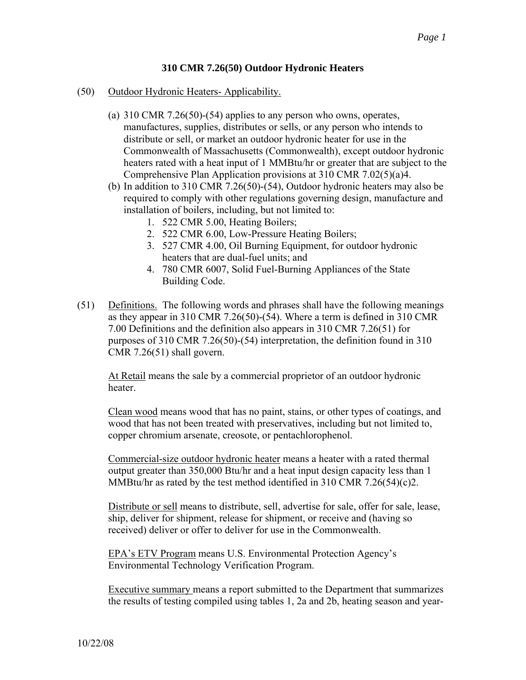## **310 CMR 7.26(50) Outdoor Hydronic Heaters**

- (50) Outdoor Hydronic Heaters- Applicability.
	- (a) 310 CMR 7.26(50)-(54) applies to any person who owns, operates, manufactures, supplies, distributes or sells, or any person who intends to distribute or sell, or market an outdoor hydronic heater for use in the Commonwealth of Massachusetts (Commonwealth), except outdoor hydronic heaters rated with a heat input of 1 MMBtu/hr or greater that are subject to the Comprehensive Plan Application provisions at 310 CMR 7.02(5)(a)4.
	- (b) In addition to 310 CMR 7.26(50)-(54), Outdoor hydronic heaters may also be required to comply with other regulations governing design, manufacture and installation of boilers, including, but not limited to:
		- 1. 522 CMR 5.00, Heating Boilers;
		- 2. 522 CMR 6.00, Low-Pressure Heating Boilers;
		- 3. 527 CMR 4.00, Oil Burning Equipment, for outdoor hydronic heaters that are dual-fuel units; and
		- 4. 780 CMR 6007, Solid Fuel-Burning Appliances of the State Building Code.
- (51) Definitions. The following words and phrases shall have the following meanings as they appear in 310 CMR 7.26(50)-(54). Where a term is defined in 310 CMR 7.00 Definitions and the definition also appears in 310 CMR 7.26(51) for purposes of 310 CMR 7.26(50)-(54) interpretation, the definition found in 310 CMR 7.26(51) shall govern.

At Retail means the sale by a commercial proprietor of an outdoor hydronic heater.

Clean wood means wood that has no paint, stains, or other types of coatings, and wood that has not been treated with preservatives, including but not limited to, copper chromium arsenate, creosote, or pentachlorophenol.

Commercial-size outdoor hydronic heater means a heater with a rated thermal output greater than 350,000 Btu/hr and a heat input design capacity less than 1 MMBtu/hr as rated by the test method identified in 310 CMR 7.26(54)(c)2.

Distribute or sell means to distribute, sell, advertise for sale, offer for sale, lease, ship, deliver for shipment, release for shipment, or receive and (having so received) deliver or offer to deliver for use in the Commonwealth.

EPA's ETV Program means U.S. Environmental Protection Agency's Environmental Technology Verification Program.

Executive summary means a report submitted to the Department that summarizes the results of testing compiled using tables 1, 2a and 2b, heating season and year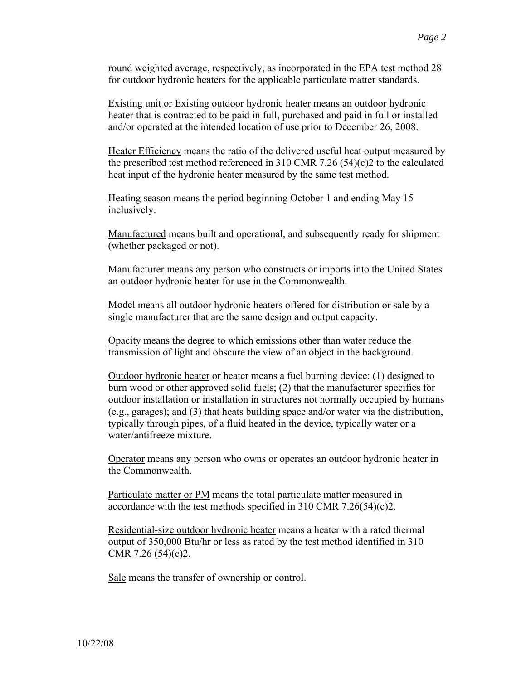round weighted average, respectively, as incorporated in the EPA test method 28 for outdoor hydronic heaters for the applicable particulate matter standards.

Existing unit or Existing outdoor hydronic heater means an outdoor hydronic heater that is contracted to be paid in full, purchased and paid in full or installed and/or operated at the intended location of use prior to December 26, 2008.

Heater Efficiency means the ratio of the delivered useful heat output measured by the prescribed test method referenced in 310 CMR 7.26 (54)(c)2 to the calculated heat input of the hydronic heater measured by the same test method.

Heating season means the period beginning October 1 and ending May 15 inclusively.

Manufactured means built and operational, and subsequently ready for shipment (whether packaged or not).

Manufacturer means any person who constructs or imports into the United States an outdoor hydronic heater for use in the Commonwealth.

Model means all outdoor hydronic heaters offered for distribution or sale by a single manufacturer that are the same design and output capacity.

Opacity means the degree to which emissions other than water reduce the transmission of light and obscure the view of an object in the background.

Outdoor hydronic heater or heater means a fuel burning device: (1) designed to burn wood or other approved solid fuels; (2) that the manufacturer specifies for outdoor installation or installation in structures not normally occupied by humans (e.g., garages); and (3) that heats building space and/or water via the distribution, typically through pipes, of a fluid heated in the device, typically water or a water/antifreeze mixture.

Operator means any person who owns or operates an outdoor hydronic heater in the Commonwealth.

Particulate matter or PM means the total particulate matter measured in accordance with the test methods specified in 310 CMR 7.26(54)(c)2.

Residential-size outdoor hydronic heater means a heater with a rated thermal output of 350,000 Btu/hr or less as rated by the test method identified in 310 CMR 7.26 (54)(c)2.

Sale means the transfer of ownership or control.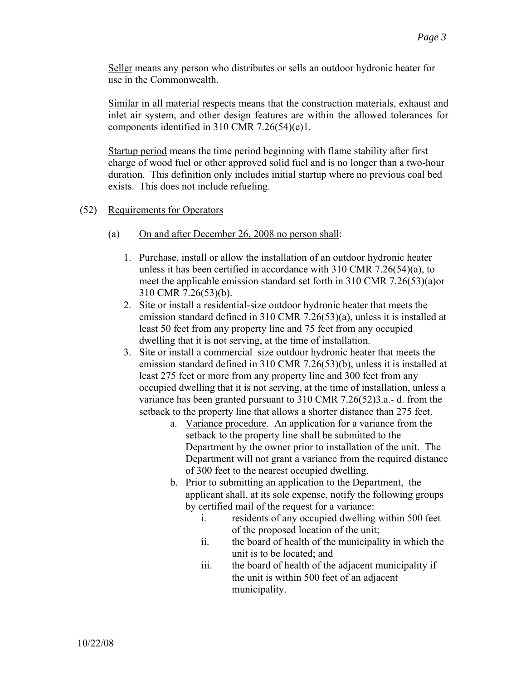Seller means any person who distributes or sells an outdoor hydronic heater for use in the Commonwealth.

Similar in all material respects means that the construction materials, exhaust and inlet air system, and other design features are within the allowed tolerances for components identified in 310 CMR 7.26(54)(e)1.

Startup period means the time period beginning with flame stability after first charge of wood fuel or other approved solid fuel and is no longer than a two-hour duration. This definition only includes initial startup where no previous coal bed exists. This does not include refueling.

- (52) Requirements for Operators
	- (a) On and after December 26, 2008 no person shall:
		- 1. Purchase, install or allow the installation of an outdoor hydronic heater unless it has been certified in accordance with 310 CMR 7.26(54)(a), to meet the applicable emission standard set forth in 310 CMR 7.26(53)(a)or 310 CMR 7.26(53)(b).
		- 2. Site or install a residential-size outdoor hydronic heater that meets the emission standard defined in 310 CMR 7.26(53)(a), unless it is installed at least 50 feet from any property line and 75 feet from any occupied dwelling that it is not serving, at the time of installation.
		- 3. Site or install a commercial–size outdoor hydronic heater that meets the emission standard defined in 310 CMR 7.26(53)(b), unless it is installed at least 275 feet or more from any property line and 300 feet from any occupied dwelling that it is not serving, at the time of installation, unless a variance has been granted pursuant to 310 CMR 7.26(52)3.a.- d. from the setback to the property line that allows a shorter distance than 275 feet.
			- a. Variance procedure. An application for a variance from the setback to the property line shall be submitted to the Department by the owner prior to installation of the unit. The Department will not grant a variance from the required distance of 300 feet to the nearest occupied dwelling.
			- b. Prior to submitting an application to the Department, the applicant shall, at its sole expense, notify the following groups by certified mail of the request for a variance:
				- i. residents of any occupied dwelling within 500 feet of the proposed location of the unit;
				- ii. the board of health of the municipality in which the unit is to be located; and
				- iii. the board of health of the adjacent municipality if the unit is within 500 feet of an adjacent municipality.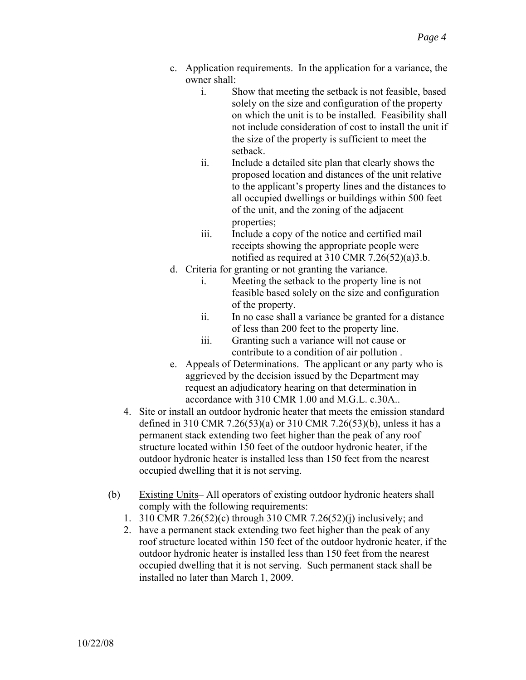- c. Application requirements. In the application for a variance, the owner shall:
	- i. Show that meeting the setback is not feasible, based solely on the size and configuration of the property on which the unit is to be installed. Feasibility shall not include consideration of cost to install the unit if the size of the property is sufficient to meet the setback.
	- ii. Include a detailed site plan that clearly shows the proposed location and distances of the unit relative to the applicant's property lines and the distances to all occupied dwellings or buildings within 500 feet of the unit, and the zoning of the adjacent properties;
	- iii. Include a copy of the notice and certified mail receipts showing the appropriate people were notified as required at 310 CMR 7.26(52)(a)3.b.
- d. Criteria for granting or not granting the variance.
	- i. Meeting the setback to the property line is not feasible based solely on the size and configuration of the property.
	- ii. In no case shall a variance be granted for a distance of less than 200 feet to the property line.
	- iii. Granting such a variance will not cause or contribute to a condition of air pollution .
- e. Appeals of Determinations. The applicant or any party who is aggrieved by the decision issued by the Department may request an adjudicatory hearing on that determination in accordance with 310 CMR 1.00 and M.G.L. c.30A..
- 4. Site or install an outdoor hydronic heater that meets the emission standard defined in 310 CMR 7.26(53)(a) or 310 CMR 7.26(53)(b), unless it has a permanent stack extending two feet higher than the peak of any roof structure located within 150 feet of the outdoor hydronic heater, if the outdoor hydronic heater is installed less than 150 feet from the nearest occupied dwelling that it is not serving.
- (b) Existing Units– All operators of existing outdoor hydronic heaters shall comply with the following requirements:
	- 1. 310 CMR 7.26(52)(c) through 310 CMR 7.26(52)(j) inclusively; and
	- 2. have a permanent stack extending two feet higher than the peak of any roof structure located within 150 feet of the outdoor hydronic heater, if the outdoor hydronic heater is installed less than 150 feet from the nearest occupied dwelling that it is not serving. Such permanent stack shall be installed no later than March 1, 2009.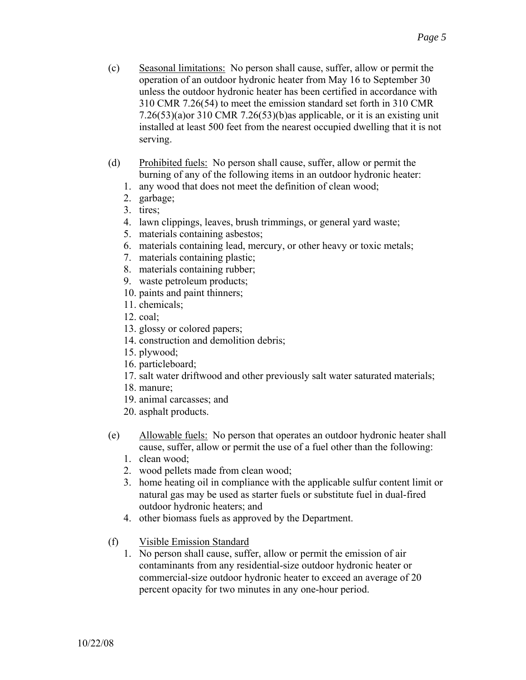- (c) Seasonal limitations: No person shall cause, suffer, allow or permit the operation of an outdoor hydronic heater from May 16 to September 30 unless the outdoor hydronic heater has been certified in accordance with 310 CMR 7.26(54) to meet the emission standard set forth in 310 CMR 7.26(53)(a)or 310 CMR 7.26(53)(b)as applicable, or it is an existing unit installed at least 500 feet from the nearest occupied dwelling that it is not serving.
- (d) Prohibited fuels: No person shall cause, suffer, allow or permit the burning of any of the following items in an outdoor hydronic heater:
	- 1. any wood that does not meet the definition of clean wood;
	- 2. garbage;
	- 3. tires;
	- 4. lawn clippings, leaves, brush trimmings, or general yard waste;
	- 5. materials containing asbestos;
	- 6. materials containing lead, mercury, or other heavy or toxic metals;
	- 7. materials containing plastic;
	- 8. materials containing rubber;
	- 9. waste petroleum products;
	- 10. paints and paint thinners;
	- 11. chemicals;
	- 12. coal;
	- 13. glossy or colored papers;
	- 14. construction and demolition debris;
	- 15. plywood;
	- 16. particleboard;
	- 17. salt water driftwood and other previously salt water saturated materials;
	- 18. manure;
	- 19. animal carcasses; and
	- 20. asphalt products.
- (e) Allowable fuels: No person that operates an outdoor hydronic heater shall cause, suffer, allow or permit the use of a fuel other than the following:
	- 1. clean wood;
	- 2. wood pellets made from clean wood;
	- 3. home heating oil in compliance with the applicable sulfur content limit or natural gas may be used as starter fuels or substitute fuel in dual-fired outdoor hydronic heaters; and
	- 4. other biomass fuels as approved by the Department.
- (f) Visible Emission Standard
	- 1. No person shall cause, suffer, allow or permit the emission of air contaminants from any residential-size outdoor hydronic heater or commercial-size outdoor hydronic heater to exceed an average of 20 percent opacity for two minutes in any one-hour period.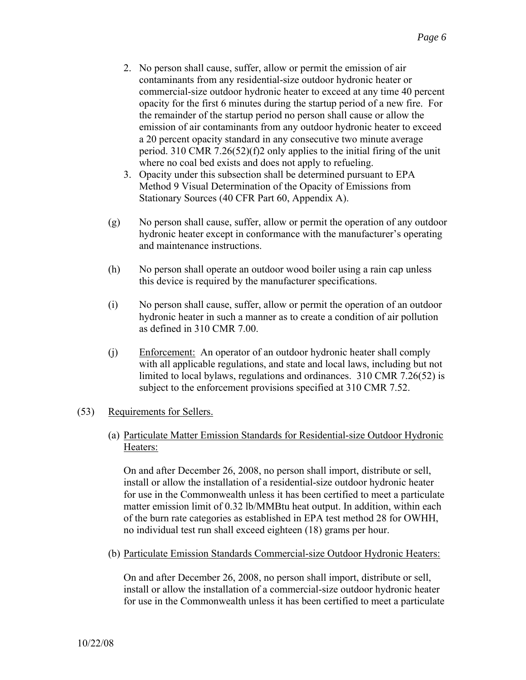- 2. No person shall cause, suffer, allow or permit the emission of air contaminants from any residential-size outdoor hydronic heater or commercial-size outdoor hydronic heater to exceed at any time 40 percent opacity for the first 6 minutes during the startup period of a new fire. For the remainder of the startup period no person shall cause or allow the emission of air contaminants from any outdoor hydronic heater to exceed a 20 percent opacity standard in any consecutive two minute average period. 310 CMR 7.26(52)(f)2 only applies to the initial firing of the unit where no coal bed exists and does not apply to refueling.
- 3. Opacity under this subsection shall be determined pursuant to EPA Method 9 Visual Determination of the Opacity of Emissions from Stationary Sources (40 CFR Part 60, Appendix A).
- (g) No person shall cause, suffer, allow or permit the operation of any outdoor hydronic heater except in conformance with the manufacturer's operating and maintenance instructions.
- (h) No person shall operate an outdoor wood boiler using a rain cap unless this device is required by the manufacturer specifications.
- (i) No person shall cause, suffer, allow or permit the operation of an outdoor hydronic heater in such a manner as to create a condition of air pollution as defined in 310 CMR 7.00.
- (j) Enforcement: An operator of an outdoor hydronic heater shall comply with all applicable regulations, and state and local laws, including but not limited to local bylaws, regulations and ordinances. 310 CMR 7.26(52) is subject to the enforcement provisions specified at 310 CMR 7.52.

## (53) Requirements for Sellers.

(a) Particulate Matter Emission Standards for Residential-size Outdoor Hydronic Heaters:

On and after December 26, 2008, no person shall import, distribute or sell, install or allow the installation of a residential-size outdoor hydronic heater for use in the Commonwealth unless it has been certified to meet a particulate matter emission limit of 0.32 lb/MMBtu heat output. In addition, within each of the burn rate categories as established in EPA test method 28 for OWHH, no individual test run shall exceed eighteen (18) grams per hour.

(b) Particulate Emission Standards Commercial-size Outdoor Hydronic Heaters:

On and after December 26, 2008, no person shall import, distribute or sell, install or allow the installation of a commercial-size outdoor hydronic heater for use in the Commonwealth unless it has been certified to meet a particulate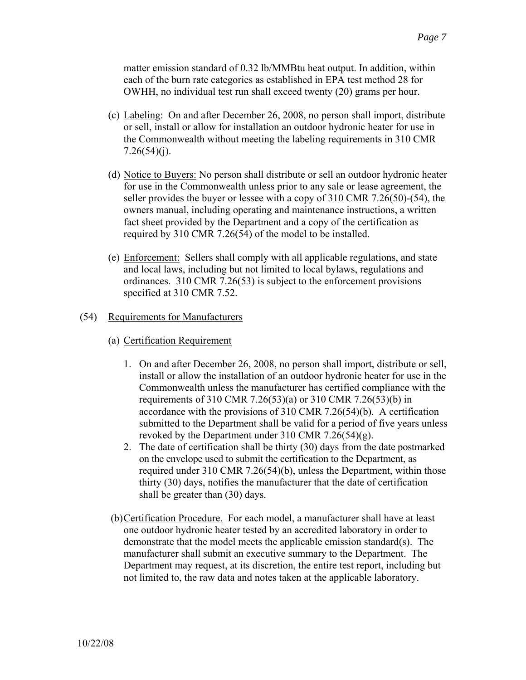matter emission standard of 0.32 lb/MMBtu heat output. In addition, within each of the burn rate categories as established in EPA test method 28 for OWHH, no individual test run shall exceed twenty (20) grams per hour.

- (c) Labeling: On and after December 26, 2008, no person shall import, distribute or sell, install or allow for installation an outdoor hydronic heater for use in the Commonwealth without meeting the labeling requirements in 310 CMR  $7.26(54)(j)$ .
- (d) Notice to Buyers: No person shall distribute or sell an outdoor hydronic heater for use in the Commonwealth unless prior to any sale or lease agreement, the seller provides the buyer or lessee with a copy of 310 CMR 7.26(50)-(54), the owners manual, including operating and maintenance instructions, a written fact sheet provided by the Department and a copy of the certification as required by 310 CMR 7.26(54) of the model to be installed.
- (e) Enforcement: Sellers shall comply with all applicable regulations, and state and local laws, including but not limited to local bylaws, regulations and ordinances. 310 CMR 7.26(53) is subject to the enforcement provisions specified at 310 CMR 7.52.

## (54) Requirements for Manufacturers

- (a) Certification Requirement
	- 1. On and after December 26, 2008, no person shall import, distribute or sell, install or allow the installation of an outdoor hydronic heater for use in the Commonwealth unless the manufacturer has certified compliance with the requirements of 310 CMR 7.26(53)(a) or 310 CMR 7.26(53)(b) in accordance with the provisions of 310 CMR 7.26(54)(b). A certification submitted to the Department shall be valid for a period of five years unless revoked by the Department under 310 CMR 7.26(54)(g).
	- 2. The date of certification shall be thirty (30) days from the date postmarked on the envelope used to submit the certification to the Department, as required under 310 CMR 7.26(54)(b), unless the Department, within those thirty (30) days, notifies the manufacturer that the date of certification shall be greater than (30) days.
- (b) Certification Procedure. For each model, a manufacturer shall have at least one outdoor hydronic heater tested by an accredited laboratory in order to demonstrate that the model meets the applicable emission standard(s). The manufacturer shall submit an executive summary to the Department. The Department may request, at its discretion, the entire test report, including but not limited to, the raw data and notes taken at the applicable laboratory.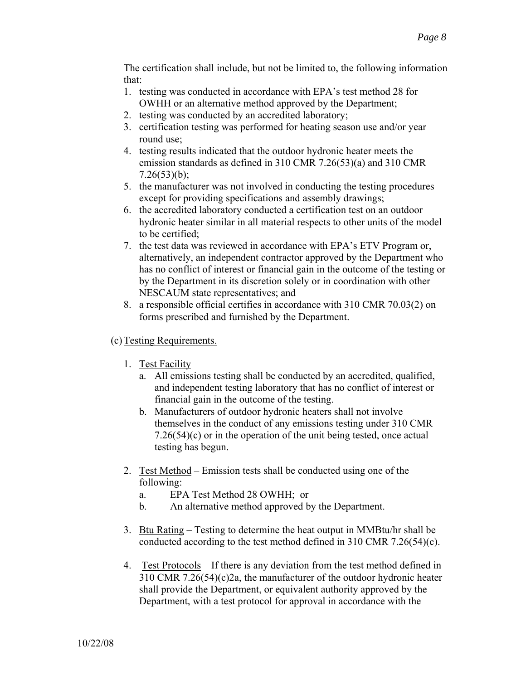The certification shall include, but not be limited to, the following information that:

- 1. testing was conducted in accordance with EPA's test method 28 for OWHH or an alternative method approved by the Department;
- 2. testing was conducted by an accredited laboratory;
- 3. certification testing was performed for heating season use and/or year round use;
- 4. testing results indicated that the outdoor hydronic heater meets the emission standards as defined in 310 CMR 7.26(53)(a) and 310 CMR  $7.26(53)(b)$ ;
- 5. the manufacturer was not involved in conducting the testing procedures except for providing specifications and assembly drawings;
- 6. the accredited laboratory conducted a certification test on an outdoor hydronic heater similar in all material respects to other units of the model to be certified;
- 7. the test data was reviewed in accordance with EPA's ETV Program or, alternatively, an independent contractor approved by the Department who has no conflict of interest or financial gain in the outcome of the testing or by the Department in its discretion solely or in coordination with other NESCAUM state representatives; and
- 8. a responsible official certifies in accordance with 310 CMR 70.03(2) on forms prescribed and furnished by the Department.

## (c) Testing Requirements.

- 1. Test Facility
	- a. All emissions testing shall be conducted by an accredited, qualified, and independent testing laboratory that has no conflict of interest or financial gain in the outcome of the testing.
	- b. Manufacturers of outdoor hydronic heaters shall not involve themselves in the conduct of any emissions testing under 310 CMR 7.26(54)(c) or in the operation of the unit being tested, once actual testing has begun.
- 2. Test Method Emission tests shall be conducted using one of the following:
	- a. EPA Test Method 28 OWHH; or
	- b. An alternative method approved by the Department.
- 3. Btu Rating Testing to determine the heat output in MMBtu/hr shall be conducted according to the test method defined in 310 CMR 7.26(54)(c).
- 4. Test Protocols If there is any deviation from the test method defined in 310 CMR 7.26(54)(c)2a, the manufacturer of the outdoor hydronic heater shall provide the Department, or equivalent authority approved by the Department, with a test protocol for approval in accordance with the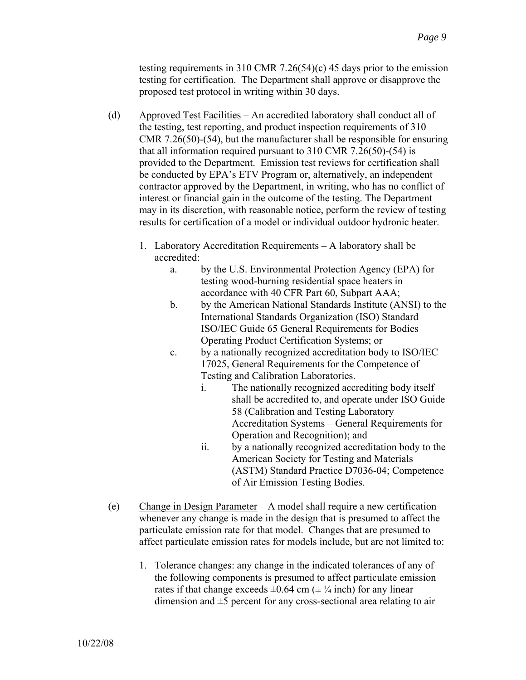testing requirements in 310 CMR 7.26(54)(c) 45 days prior to the emission testing for certification. The Department shall approve or disapprove the proposed test protocol in writing within 30 days.

- (d) Approved Test Facilities An accredited laboratory shall conduct all of the testing, test reporting, and product inspection requirements of 310 CMR 7.26(50)-(54), but the manufacturer shall be responsible for ensuring that all information required pursuant to 310 CMR 7.26(50)-(54) is provided to the Department. Emission test reviews for certification shall be conducted by EPA's ETV Program or, alternatively, an independent contractor approved by the Department, in writing, who has no conflict of interest or financial gain in the outcome of the testing. The Department may in its discretion, with reasonable notice, perform the review of testing results for certification of a model or individual outdoor hydronic heater.
	- 1. Laboratory Accreditation Requirements A laboratory shall be accredited:
		- a. by the U.S. Environmental Protection Agency (EPA) for testing wood-burning residential space heaters in accordance with 40 CFR Part 60, Subpart AAA;
		- b. by the American National Standards Institute (ANSI) to the International Standards Organization (ISO) Standard ISO/IEC Guide 65 General Requirements for Bodies Operating Product Certification Systems; or
		- c. by a nationally recognized accreditation body to ISO/IEC 17025, General Requirements for the Competence of Testing and Calibration Laboratories.
			- i. The nationally recognized accrediting body itself shall be accredited to, and operate under ISO Guide 58 (Calibration and Testing Laboratory Accreditation Systems – General Requirements for Operation and Recognition); and
			- ii. by a nationally recognized accreditation body to the American Society for Testing and Materials (ASTM) Standard Practice D7036-04; Competence of Air Emission Testing Bodies.
- (e) Change in Design Parameter A model shall require a new certification whenever any change is made in the design that is presumed to affect the particulate emission rate for that model. Changes that are presumed to affect particulate emission rates for models include, but are not limited to:
	- 1. Tolerance changes: any change in the indicated tolerances of any of the following components is presumed to affect particulate emission rates if that change exceeds  $\pm 0.64$  cm ( $\pm \frac{1}{4}$  inch) for any linear dimension and  $\pm$ 5 percent for any cross-sectional area relating to air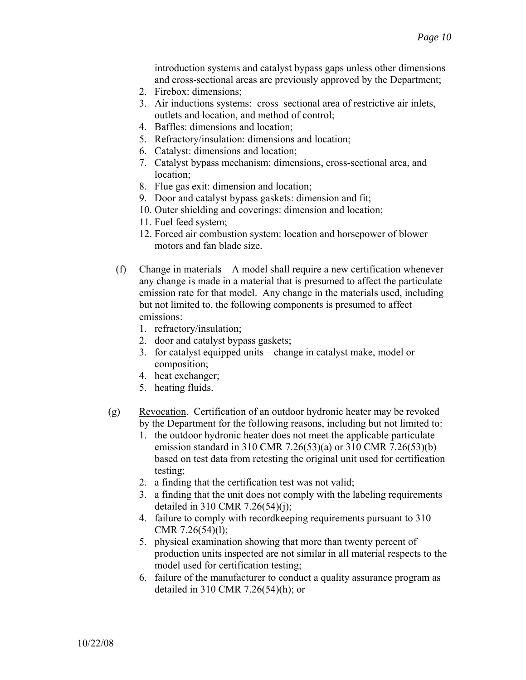introduction systems and catalyst bypass gaps unless other dimensions and cross-sectional areas are previously approved by the Department;

- 2. Firebox: dimensions;
- 3. Air inductions systems: cross–sectional area of restrictive air inlets, outlets and location, and method of control;
- 4. Baffles: dimensions and location;
- 5. Refractory/insulation: dimensions and location;
- 6. Catalyst: dimensions and location;
- 7. Catalyst bypass mechanism: dimensions, cross-sectional area, and location;
- 8. Flue gas exit: dimension and location;
- 9. Door and catalyst bypass gaskets: dimension and fit;
- 10. Outer shielding and coverings: dimension and location;
- 11. Fuel feed system;
- 12. Forced air combustion system: location and horsepower of blower motors and fan blade size.
- (f) Change in materials  $A$  model shall require a new certification whenever any change is made in a material that is presumed to affect the particulate emission rate for that model. Any change in the materials used, including but not limited to, the following components is presumed to affect emissions:
	- 1. refractory/insulation;
	- 2. door and catalyst bypass gaskets;
	- 3. for catalyst equipped units change in catalyst make, model or composition;
	- 4. heat exchanger;
	- 5. heating fluids.
- (g) Revocation. Certification of an outdoor hydronic heater may be revoked by the Department for the following reasons, including but not limited to:
	- 1. the outdoor hydronic heater does not meet the applicable particulate emission standard in 310 CMR 7.26(53)(a) or 310 CMR 7.26(53)(b) based on test data from retesting the original unit used for certification testing;
	- 2. a finding that the certification test was not valid;
	- 3. a finding that the unit does not comply with the labeling requirements detailed in 310 CMR 7.26(54)(j);
	- 4. failure to comply with recordkeeping requirements pursuant to 310 CMR  $7.26(54)(1)$ ;
	- 5. physical examination showing that more than twenty percent of production units inspected are not similar in all material respects to the model used for certification testing;
	- 6. failure of the manufacturer to conduct a quality assurance program as detailed in 310 CMR 7.26(54)(h); or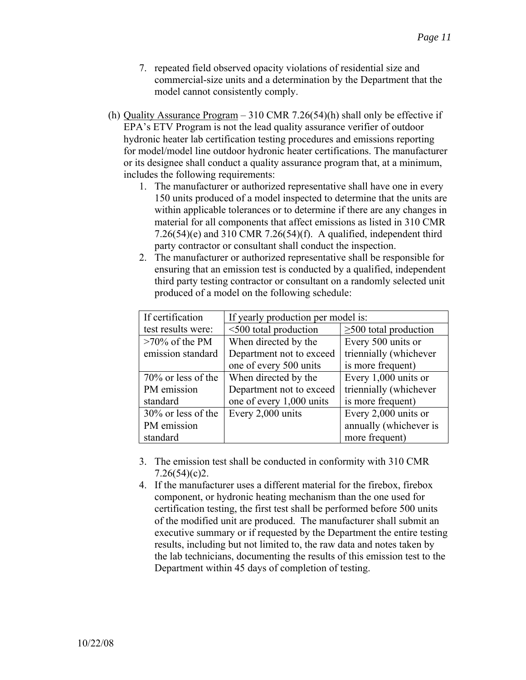- 7. repeated field observed opacity violations of residential size and commercial-size units and a determination by the Department that the model cannot consistently comply.
- (h) Quality Assurance Program 310 CMR 7.26(54)(h) shall only be effective if EPA's ETV Program is not the lead quality assurance verifier of outdoor hydronic heater lab certification testing procedures and emissions reporting for model/model line outdoor hydronic heater certifications. The manufacturer or its designee shall conduct a quality assurance program that, at a minimum, includes the following requirements:
	- 1. The manufacturer or authorized representative shall have one in every 150 units produced of a model inspected to determine that the units are within applicable tolerances or to determine if there are any changes in material for all components that affect emissions as listed in 310 CMR 7.26(54)(e) and 310 CMR 7.26(54)(f). A qualified, independent third party contractor or consultant shall conduct the inspection.
	- 2. The manufacturer or authorized representative shall be responsible for ensuring that an emission test is conducted by a qualified, independent third party testing contractor or consultant on a randomly selected unit produced of a model on the following schedule:

| If certification      | If yearly production per model is: |                             |
|-----------------------|------------------------------------|-----------------------------|
| test results were:    | <500 total production              | $\geq$ 500 total production |
| $>70\%$ of the PM     | When directed by the               | Every 500 units or          |
| emission standard     | Department not to exceed           | triennially (whichever      |
|                       | one of every 500 units             | is more frequent)           |
| $70\%$ or less of the | When directed by the               | Every $1,000$ units or      |
| PM emission           | Department not to exceed           | triennially (whichever      |
| standard              | one of every 1,000 units           | is more frequent)           |
| 30% or less of the    | Every 2,000 units                  | Every 2,000 units or        |
| PM emission           |                                    | annually (whichever is      |
| standard              |                                    | more frequent)              |

- 3. The emission test shall be conducted in conformity with 310 CMR  $7.26(54)(c)2$ .
- 4. If the manufacturer uses a different material for the firebox, firebox component, or hydronic heating mechanism than the one used for certification testing, the first test shall be performed before 500 units of the modified unit are produced. The manufacturer shall submit an executive summary or if requested by the Department the entire testing results, including but not limited to, the raw data and notes taken by the lab technicians, documenting the results of this emission test to the Department within 45 days of completion of testing.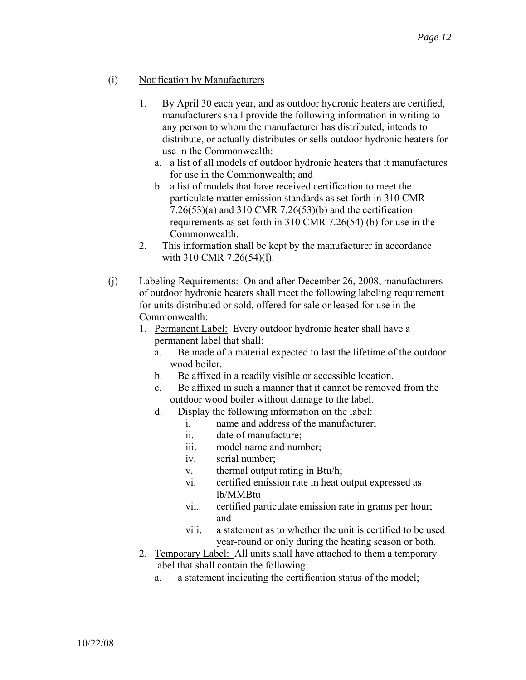- (i) Notification by Manufacturers
	- 1. By April 30 each year, and as outdoor hydronic heaters are certified, manufacturers shall provide the following information in writing to any person to whom the manufacturer has distributed, intends to distribute, or actually distributes or sells outdoor hydronic heaters for use in the Commonwealth:
		- a. a list of all models of outdoor hydronic heaters that it manufactures for use in the Commonwealth; and
		- b. a list of models that have received certification to meet the particulate matter emission standards as set forth in 310 CMR 7.26(53)(a) and 310 CMR 7.26(53)(b) and the certification requirements as set forth in 310 CMR 7.26(54) (b) for use in the Commonwealth.
	- 2. This information shall be kept by the manufacturer in accordance with 310 CMR 7.26(54)(l).
- (j) Labeling Requirements: On and after December 26, 2008, manufacturers of outdoor hydronic heaters shall meet the following labeling requirement for units distributed or sold, offered for sale or leased for use in the Commonwealth:
	- 1. Permanent Label: Every outdoor hydronic heater shall have a permanent label that shall:
		- a. Be made of a material expected to last the lifetime of the outdoor wood boiler.
		- b. Be affixed in a readily visible or accessible location.
		- c. Be affixed in such a manner that it cannot be removed from the outdoor wood boiler without damage to the label.
		- d. Display the following information on the label:
			- i. name and address of the manufacturer;
			- ii. date of manufacture;
			- iii. model name and number;
			- iv. serial number;
			- v. thermal output rating in Btu/h;
			- vi. certified emission rate in heat output expressed as lb/MMBtu
			- vii. certified particulate emission rate in grams per hour; and
			- viii. a statement as to whether the unit is certified to be used year-round or only during the heating season or both.
	- 2. Temporary Label: All units shall have attached to them a temporary label that shall contain the following:
		- a. a statement indicating the certification status of the model;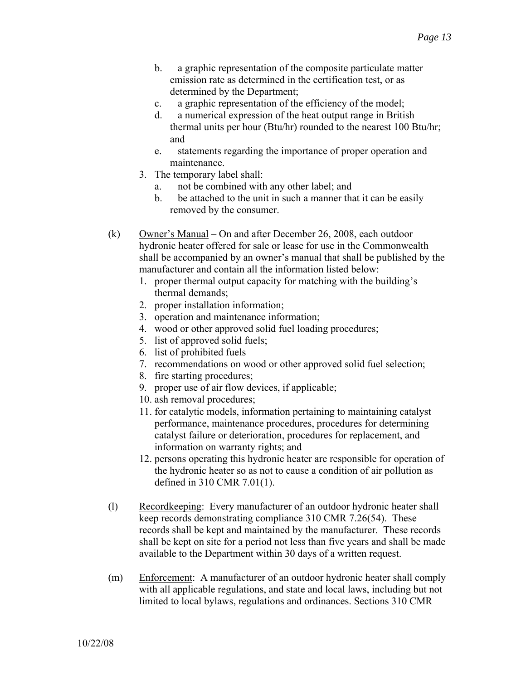- b. a graphic representation of the composite particulate matter emission rate as determined in the certification test, or as determined by the Department;
- c. a graphic representation of the efficiency of the model;
- d. a numerical expression of the heat output range in British thermal units per hour (Btu/hr) rounded to the nearest 100 Btu/hr; and
- e. statements regarding the importance of proper operation and maintenance.
- 3. The temporary label shall:
	- a. not be combined with any other label; and
	- b. be attached to the unit in such a manner that it can be easily removed by the consumer.
- (k) Owner's Manual On and after December 26, 2008, each outdoor hydronic heater offered for sale or lease for use in the Commonwealth shall be accompanied by an owner's manual that shall be published by the manufacturer and contain all the information listed below:
	- 1. proper thermal output capacity for matching with the building's thermal demands;
	- 2. proper installation information;
	- 3. operation and maintenance information;
	- 4. wood or other approved solid fuel loading procedures;
	- 5. list of approved solid fuels;
	- 6. list of prohibited fuels
	- 7. recommendations on wood or other approved solid fuel selection;
	- 8. fire starting procedures;
	- 9. proper use of air flow devices, if applicable;
	- 10. ash removal procedures;
	- 11. for catalytic models, information pertaining to maintaining catalyst performance, maintenance procedures, procedures for determining catalyst failure or deterioration, procedures for replacement, and information on warranty rights; and
	- 12. persons operating this hydronic heater are responsible for operation of the hydronic heater so as not to cause a condition of air pollution as defined in 310 CMR 7.01(1).
- (l) Recordkeeping: Every manufacturer of an outdoor hydronic heater shall keep records demonstrating compliance 310 CMR 7.26(54). These records shall be kept and maintained by the manufacturer. These records shall be kept on site for a period not less than five years and shall be made available to the Department within 30 days of a written request.
- (m) Enforcement: A manufacturer of an outdoor hydronic heater shall comply with all applicable regulations, and state and local laws, including but not limited to local bylaws, regulations and ordinances. Sections 310 CMR